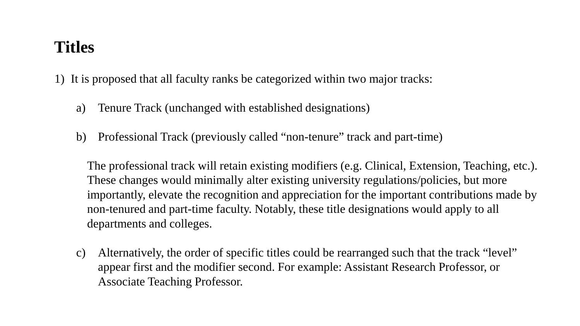## **Titles**

1) It is proposed that all faculty ranks be categorized within two major tracks:

- a) Tenure Track (unchanged with established designations)
- b) Professional Track (previously called "non-tenure" track and part-time)

The professional track will retain existing modifiers (e.g. Clinical, Extension, Teaching, etc.). These changes would minimally alter existing university regulations/policies, but more importantly, elevate the recognition and appreciation for the important contributions made by non-tenured and part-time faculty. Notably, these title designations would apply to all departments and colleges.

c) Alternatively, the order of specific titles could be rearranged such that the track "level" appear first and the modifier second. For example: Assistant Research Professor, or Associate Teaching Professor.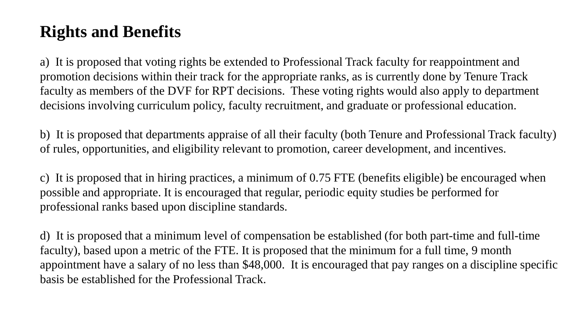## **Rights and Benefits**

a) It is proposed that voting rights be extended to Professional Track faculty for reappointment and promotion decisions within their track for the appropriate ranks, as is currently done by Tenure Track faculty as members of the DVF for RPT decisions. These voting rights would also apply to department decisions involving curriculum policy, faculty recruitment, and graduate or professional education.

b) It is proposed that departments appraise of all their faculty (both Tenure and Professional Track faculty) of rules, opportunities, and eligibility relevant to promotion, career development, and incentives.

c) It is proposed that in hiring practices, a minimum of 0.75 FTE (benefits eligible) be encouraged when possible and appropriate. It is encouraged that regular, periodic equity studies be performed for professional ranks based upon discipline standards.

d) It is proposed that a minimum level of compensation be established (for both part-time and full-time faculty), based upon a metric of the FTE. It is proposed that the minimum for a full time, 9 month appointment have a salary of no less than \$48,000. It is encouraged that pay ranges on a discipline specific basis be established for the Professional Track.